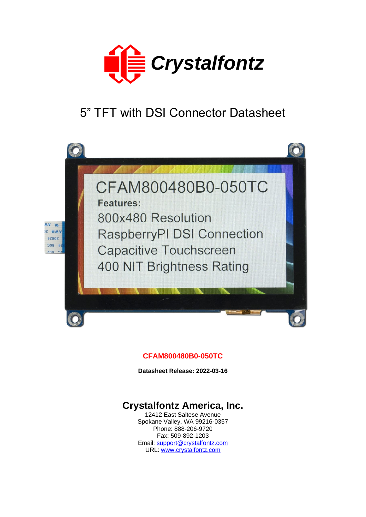

# 5" TFT with DSI Connector Datasheet



### **CFAM800480B0-050TC**

**Datasheet Release: 2022-03-16**

# **Crystalfontz America, Inc.**

12412 East Saltese Avenue Spokane Valley, WA 99216-0357 Phone: 888-206-9720 Fax: 509-892-1203 Email: [support@crystalfontz.com](mailto:support@crystalfontz.com) URL: [www.crystalfontz.com](http://www.crystalfontz.com/)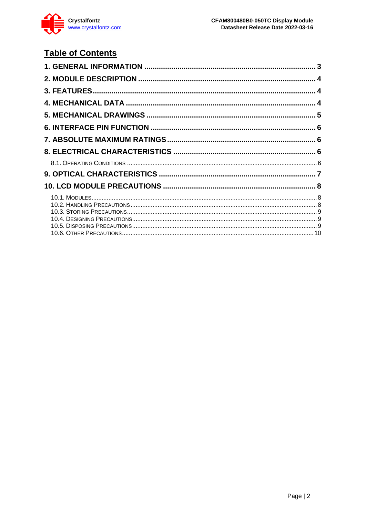

# **Table of Contents**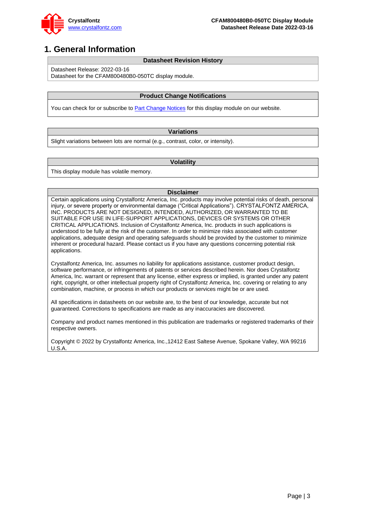

### <span id="page-2-0"></span>**1. General Information**

#### **Datasheet Revision History**

Datasheet Release: 2022-03-16

Datasheet for the CFAM800480B0-050TC display module.

#### **Product Change Notifications**

You can check for or subscribe to [Part Change Notices](https://www.crystalfontz.com/news/pcn.php) for this display module on our website.

#### **Variations**

Slight variations between lots are normal (e.g., contrast, color, or intensity).

#### **Volatility**

This display module has volatile memory.

#### **Disclaimer**

Certain applications using Crystalfontz America, Inc. products may involve potential risks of death, personal injury, or severe property or environmental damage ("Critical Applications"). CRYSTALFONTZ AMERICA, INC. PRODUCTS ARE NOT DESIGNED, INTENDED, AUTHORIZED, OR WARRANTED TO BE SUITABLE FOR USE IN LIFE-SUPPORT APPLICATIONS, DEVICES OR SYSTEMS OR OTHER CRITICAL APPLICATIONS. Inclusion of Crystalfontz America, Inc. products in such applications is understood to be fully at the risk of the customer. In order to minimize risks associated with customer applications, adequate design and operating safeguards should be provided by the customer to minimize inherent or procedural hazard. Please contact us if you have any questions concerning potential risk applications.

Crystalfontz America, Inc. assumes no liability for applications assistance, customer product design, software performance, or infringements of patents or services described herein. Nor does Crystalfontz America, Inc. warrant or represent that any license, either express or implied, is granted under any patent right, copyright, or other intellectual property right of Crystalfontz America, Inc. covering or relating to any combination, machine, or process in which our products or services might be or are used.

All specifications in datasheets on our website are, to the best of our knowledge, accurate but not guaranteed. Corrections to specifications are made as any inaccuracies are discovered.

Company and product names mentioned in this publication are trademarks or registered trademarks of their respective owners.

Copyright © 2022 by Crystalfontz America, Inc.,12412 East Saltese Avenue, Spokane Valley, WA 99216 U.S.A.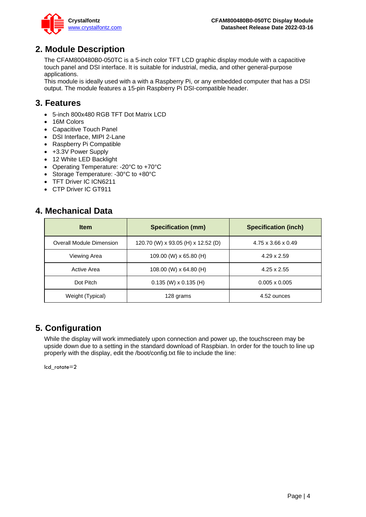

### <span id="page-3-0"></span>**2. Module Description**

The CFAM800480B0-050TC is a 5-inch color TFT LCD graphic display module with a capacitive touch panel and DSI interface. It is suitable for industrial, media, and other general-purpose applications.

This module is ideally used with a with a Raspberry Pi, or any embedded computer that has a DSI output. The module features a 15-pin Raspberry Pi DSI-compatible header.

### <span id="page-3-1"></span>**3. Features**

- 5-inch 800x480 RGB TFT Dot Matrix LCD
- 16M Colors
- Capacitive Touch Panel
- DSI Interface, MIPI 2-Lane
- Raspberry Pi Compatible
- +3.3V Power Supply
- 12 White LED Backlight
- Operating Temperature: -20°C to +70°C
- Storage Temperature: -30°C to +80°C
- TFT Driver IC ICN6211
- CTP Driver IC GT911

### <span id="page-3-2"></span>**4. Mechanical Data**

| <b>Item</b>              | <b>Specification (mm)</b>          | <b>Specification (inch)</b> |
|--------------------------|------------------------------------|-----------------------------|
| Overall Module Dimension | 120.70 (W) x 93.05 (H) x 12.52 (D) | 4.75 x 3.66 x 0.49          |
| Viewing Area             | 109.00 (W) x 65.80 (H)             | $4.29 \times 2.59$          |
| Active Area              | 108.00 (W) x 64.80 (H)             | $4.25 \times 2.55$          |
| Dot Pitch                | $0.135$ (W) x $0.135$ (H)          | $0.005 \times 0.005$        |
| Weight (Typical)         | 128 grams                          | 4.52 ounces                 |

### **5. Configuration**

While the display will work immediately upon connection and power up, the touchscreen may be upside down due to a setting in the standard download of Raspbian. In order for the touch to line up properly with the display, edit the /boot/config.txt file to include the line:

lcd\_rotate=2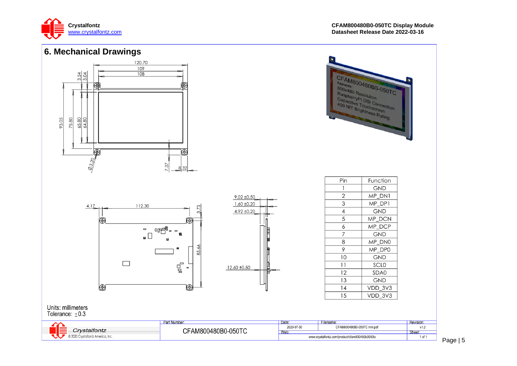

<span id="page-4-0"></span>

Page | 5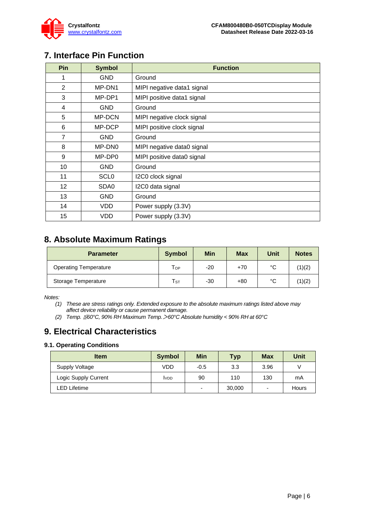

# <span id="page-5-0"></span>**7. Interface Pin Function**

| <b>Pin</b>        | <b>Symbol</b> | <b>Function</b>            |
|-------------------|---------------|----------------------------|
| 1                 | <b>GND</b>    | Ground                     |
| 2                 | MP-DN1        | MIPI negative data1 signal |
| 3                 | MP-DP1        | MIPI positive data1 signal |
| 4                 | <b>GND</b>    | Ground                     |
| 5                 | MP-DCN        | MIPI negative clock signal |
| 6                 | MP-DCP        | MIPI positive clock signal |
| 7                 | <b>GND</b>    | Ground                     |
| 8                 | MP-DN0        | MIPI negative data0 signal |
| 9                 | MP-DP0        | MIPI positive data0 signal |
| 10                | <b>GND</b>    | Ground                     |
| 11                | <b>SCLO</b>   | I2C0 clock signal          |
| $12 \overline{ }$ | SDA0          | I2C0 data signal           |
| 13                | <b>GND</b>    | Ground                     |
| 14                | VDD           | Power supply (3.3V)        |
| 15                | VDD           | Power supply (3.3V)        |

# <span id="page-5-1"></span>**8. Absolute Maximum Ratings**

| <b>Parameter</b>             | <b>Symbol</b>              | <b>Min</b> | <b>Max</b> | Unit | <b>Notes</b> |
|------------------------------|----------------------------|------------|------------|------|--------------|
| <b>Operating Temperature</b> | $\mathsf{T}_{\mathsf{OP}}$ | -20        | $+70$      | °C   | (1)(2)       |
| Storage Temperature          | $\mathsf{T}_{\texttt{ST}}$ | -30        | $+80$      | °C   | (1)(2)       |

*Notes:*

*(1) These are stress ratings only. Extended exposure to the absolute maximum ratings listed above may affect device reliability or cause permanent damage.* 

*(2) Temp.* ≦*60°C, 90% RH Maximum Temp.*>*60°C Absolute humidity < 90% RH at 60°C*

### <span id="page-5-2"></span>**9. Electrical Characteristics**

### <span id="page-5-3"></span>**9.1. Operating Conditions**

| <b>Item</b>          | <b>Symbol</b> | Min                      | <b>Typ</b> | <b>Max</b> | Unit  |
|----------------------|---------------|--------------------------|------------|------------|-------|
| Supply Voltage       | VDD           | $-0.5$                   | 3.3        | 3.96       |       |
| Logic Supply Current | <b>IVDD</b>   | 90                       | 110        | 130        | mA    |
| LED Lifetime         |               | $\overline{\phantom{0}}$ | 30,000     | -          | Hours |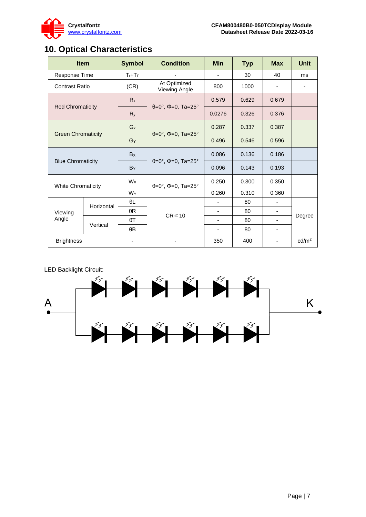

# <span id="page-6-0"></span>**10. Optical Characteristics**

| <b>Item</b>                    |            | <b>Symbol</b> | <b>Condition</b>                                        | <b>Min</b> | <b>Typ</b> | <b>Max</b>    | <b>Unit</b>       |
|--------------------------------|------------|---------------|---------------------------------------------------------|------------|------------|---------------|-------------------|
| Response Time<br>$T_r$ + $T_F$ |            |               |                                                         | 30         | 40         | <sub>ms</sub> |                   |
| <b>Contrast Ratio</b>          |            | (CR)          | At Optimized<br>Viewing Angle                           | 800        | 1000       |               |                   |
| <b>Red Chromaticity</b>        |            | $R_{x}$       | $\theta = 0^{\circ}, \Phi = 0, \text{ Ta} = 25^{\circ}$ | 0.579      | 0.629      | 0.679         |                   |
|                                |            | $R_{y}$       |                                                         | 0.0276     | 0.326      | 0.376         |                   |
| <b>Green Chromaticity</b>      |            | $G_{x}$       | $\theta = 0^{\circ}, \Phi = 0, \text{ Ta} = 25^{\circ}$ | 0.287      | 0.337      | 0.387         |                   |
|                                |            | $G_Y$         |                                                         | 0.496      | 0.546      | 0.596         |                   |
| <b>Blue Chromaticity</b>       |            | Bx            | $\theta = 0^{\circ}$ , $\Phi = 0$ , Ta=25°              | 0.086      | 0.136      | 0.186         |                   |
|                                |            | BY            |                                                         | 0.096      | 0.143      | 0.193         |                   |
| <b>White Chromaticity</b>      |            | $W_X$         | $\theta = 0^{\circ}$ , $\Phi = 0$ , Ta=25°              | 0.250      | 0.300      | 0.350         |                   |
|                                |            | WY            |                                                         | 0.260      | 0.310      | 0.360         |                   |
|                                | Horizontal | θL            | $CR \ge 10$                                             |            | 80         |               |                   |
| Viewing<br>Angle               |            | $\theta R$    |                                                         | ٠          | 80         |               | Degree            |
|                                | Vertical   | $\theta$ T    |                                                         | ٠          | 80         |               |                   |
|                                |            | $\theta B$    |                                                         |            | 80         | -             |                   |
| <b>Brightness</b>              |            |               |                                                         | 350        | 400        |               | cd/m <sup>2</sup> |

LED Backlight Circuit:

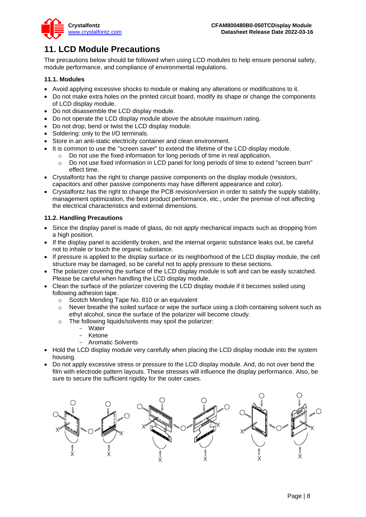

# <span id="page-7-0"></span>**11. LCD Module Precautions**

The precautions below should be followed when using LCD modules to help ensure personal safety, module performance, and compliance of environmental regulations.

### <span id="page-7-1"></span>**11.1. Modules**

- Avoid applying excessive shocks to module or making any alterations or modifications to it.
- Do not make extra holes on the printed circuit board, modify its shape or change the components of LCD display module.
- Do not disassemble the LCD display module.
- Do not operate the LCD display module above the absolute maximum rating.
- Do not drop, bend or twist the LCD display module.
- Soldering: only to the I/O terminals.
- Store in an anti-static electricity container and clean environment.
- It is common to use the "screen saver" to extend the lifetime of the LCD display module.
	- o Do not use the fixed information for long periods of time in real application.
	- o Do not use fixed information in LCD panel for long periods of time to extend "screen burn" effect time.
- Crystalfontz has the right to change passive components on the display module (resistors, capacitors and other passive components may have different appearance and color).
- Crystalfontz has the right to change the PCB revision/version in order to satisfy the supply stability, management optimization, the best product performance, etc., under the premise of not affecting the electrical characteristics and external dimensions.

### <span id="page-7-2"></span>**11.2. Handling Precautions**

- Since the display panel is made of glass, do not apply mechanical impacts such as dropping from a high position.
- If the display panel is accidently broken, and the internal organic substance leaks out, be careful not to inhale or touch the organic substance.
- If pressure is applied to the display surface or its neighborhood of the LCD display module, the cell structure may be damaged, so be careful not to apply pressure to these sections.
- The polarizer covering the surface of the LCD display module is soft and can be easily scratched. Please be careful when handling the LCD display module.
- Clean the surface of the polarizer covering the LCD display module if it becomes soiled using following adhesion tape.
	- o Scotch Mending Tape No. 810 or an equivalent
	- $\circ$  Never breathe the soiled surface or wipe the surface using a cloth containing solvent such as ethyl alcohol, since the surface of the polarizer will become cloudy.
	- o The following liquids/solvents may spoil the polarizer:
		- Water
		- Ketone
		- Aromatic Solvents
- Hold the LCD display module very carefully when placing the LCD display module into the system housing.
- Do not apply excessive stress or pressure to the LCD display module. And, do not over bend the film with electrode pattern layouts. These stresses will influence the display performance. Also, be sure to secure the sufficient rigidity for the outer cases.

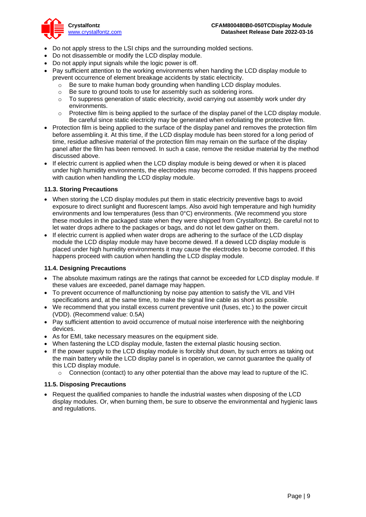

- Do not apply stress to the LSI chips and the surrounding molded sections.
- Do not disassemble or modify the LCD display module.
- Do not apply input signals while the logic power is off.
- Pay sufficient attention to the working environments when handing the LCD display module to prevent occurrence of element breakage accidents by static electricity.
	- o Be sure to make human body grounding when handling LCD display modules.
	- o Be sure to ground tools to use for assembly such as soldering irons.
	- $\circ$  To suppress generation of static electricity, avoid carrying out assembly work under dry environments.
	- $\circ$  Protective film is being applied to the surface of the display panel of the LCD display module. Be careful since static electricity may be generated when exfoliating the protective film.
- Protection film is being applied to the surface of the display panel and removes the protection film before assembling it. At this time, if the LCD display module has been stored for a long period of time, residue adhesive material of the protection film may remain on the surface of the display panel after the film has been removed. In such a case, remove the residue material by the method discussed above.
- If electric current is applied when the LCD display module is being dewed or when it is placed under high humidity environments, the electrodes may become corroded. If this happens proceed with caution when handling the LCD display module.

### <span id="page-8-0"></span>**11.3. Storing Precautions**

- When storing the LCD display modules put them in static electricity preventive bags to avoid exposure to direct sunlight and fluorescent lamps. Also avoid high temperature and high humidity environments and low temperatures (less than 0°C) environments. (We recommend you store these modules in the packaged state when they were shipped from Crystalfontz). Be careful not to let water drops adhere to the packages or bags, and do not let dew gather on them.
- If electric current is applied when water drops are adhering to the surface of the LCD display module the LCD display module may have become dewed. If a dewed LCD display module is placed under high humidity environments it may cause the electrodes to become corroded. If this happens proceed with caution when handling the LCD display module.

### <span id="page-8-1"></span>**11.4. Designing Precautions**

- The absolute maximum ratings are the ratings that cannot be exceeded for LCD display module. If these values are exceeded, panel damage may happen.
- To prevent occurrence of malfunctioning by noise pay attention to satisfy the VIL and VIH specifications and, at the same time, to make the signal line cable as short as possible.
- We recommend that you install excess current preventive unit (fuses, etc.) to the power circuit (VDD). (Recommend value: 0.5A)
- Pay sufficient attention to avoid occurrence of mutual noise interference with the neighboring devices.
- As for EMI, take necessary measures on the equipment side.
- When fastening the LCD display module, fasten the external plastic housing section.
- If the power supply to the LCD display module is forcibly shut down, by such errors as taking out the main battery while the LCD display panel is in operation, we cannot guarantee the quality of this LCD display module.
	- $\circ$  Connection (contact) to any other potential than the above may lead to rupture of the IC.

### <span id="page-8-2"></span>**11.5. Disposing Precautions**

• Request the qualified companies to handle the industrial wastes when disposing of the LCD display modules. Or, when burning them, be sure to observe the environmental and hygienic laws and regulations.